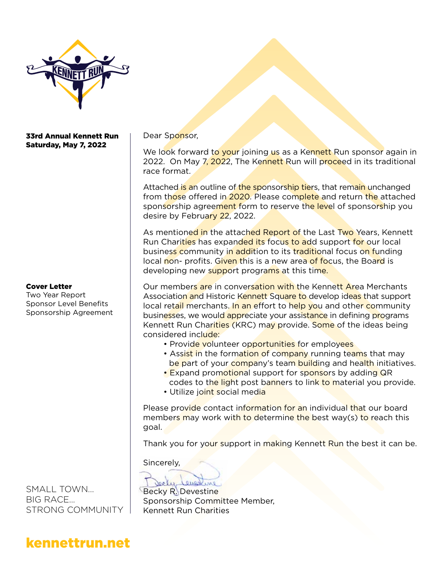

### 33rd Annual Kennett Run Saturday, May 7, 2022

#### Cover Letter

Two Year Report Sponsor Level Benefits Sponsorship Agreement

SMALL TOWN... BIG RACE... STRONG COMMUNITY Dear Sponsor,

We look forward to your joining us as a Kennett Run sponsor again in 2022. On May 7, 2022, The Kennett Run will proceed in its traditional race format.

Attached is an outline of the sponsorship tiers, that remain unchanged from those offered in 2020. Please complete and return the attached sponsorship agreement form to reserve the level of sponsorship you desire by February 22, 2022.

As mentioned in the attached Report of the Last Two Years, Kennett Run Charities has expanded its focus to add support for our local business community in addition to its traditional focus on funding local non- profits. Given this is a new area of focus, the Board is developing new support programs at this time.

Our members are in conversation with the Kennett Area Merchants Association and Historic Kennett Square to develop ideas that support local retail merchants. In an effort to help you and other community businesses, we would appreciate your assistance in defining programs Kennett Run Charities (KRC) may provide. Some of the ideas being considered include:

- Provide volunteer opportunities for employees
- Assist in the formation of company running teams that may be part of your company's team building and health initiatives.
- Expand promotional support for sponsors by adding QR codes to the light post banners to link to material you provide.
- Utilize joint social media

Please provide contact information for an individual that our board members may work with to determine the best way(s) to reach this goal.

Thank you for your support in making Kennett Run the best it can be.

Sincerely,

orly everlin

Becky R. Devestine Sponsorship Committee Member, Kennett Run Charities

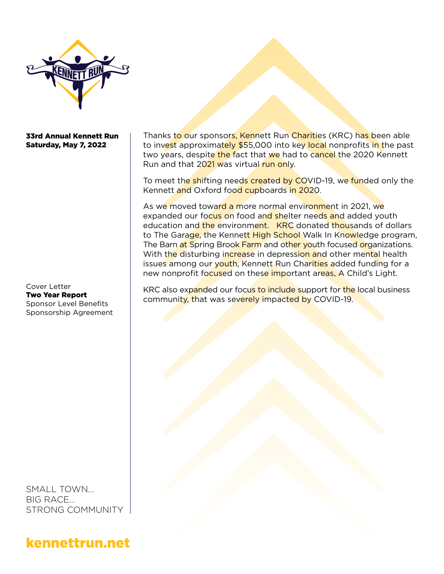

### 33rd Annual Kennett Run Saturday, May 7, 2022

Cover Letter Two Year Report Sponsor Level Benefits Sponsorship Agreement

SMALL TOWN... BIG RACE... STRONG COMMUNITY

kennettrun.net

Thanks to our sponsors, Kennett Run Charities (KRC) has been able to invest approximately \$55,000 into key local nonprofits in the past two years, despite the fact that we had to cancel the 2020 Kennett Run and that 2021 was virtual run only.

To meet the shifting needs created by COVID-19, we funded only the Kennett and Oxford food cupboards in 2020.

As we moved toward a more normal environment in 2021, we expanded our focus on food and shelter needs and added youth education and the environment. KRC donated thousands of dollars to The Garage, the Kennett High School Walk In Knowledge program, The Barn at Spring Brook Farm and other youth focused organizations. With the disturbing increase in depression and other mental health issues among our youth, Kennett Run Charities added funding for a new nonprofit focused on these important areas, A Child's Light.

KRC also expanded our focus to include support for the local business community, that was severely impacted by COVID-19.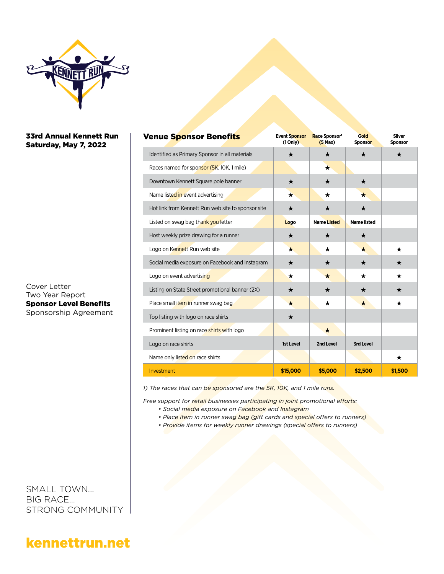

### 33rd Annual Kennett Run Saturday, May 7, 2022

Cover Letter Two Year Report Sponsor Level Benefits Sponsorship Agreement

SMALL TOWN... BIG RACE... STRONG COMMUNITY

| <b>Venue Sponsor Benefits</b>                      | <b>Event Sponsor</b><br>$(1$ Only $)$ | Race Sponsor <sup>1</sup><br>$(5$ Max) | Gold<br><b>Sponsor</b> | <b>Silver</b><br><b>Sponsor</b> |
|----------------------------------------------------|---------------------------------------|----------------------------------------|------------------------|---------------------------------|
| Identified as Primary Sponsor in all materials     | $\star$                               | $\star$                                | ★                      | $\star$                         |
| Races named for sponsor (5K, 10K, 1 mile)          |                                       | $\star$                                |                        |                                 |
| Downtown Kennett Square pole banner                | $\star$                               | $\star$                                | $\star$                |                                 |
| Name listed in event advertising                   | $\star$                               | $\star$                                | $\bigstar$             |                                 |
| Hot link from Kennett Run web site to sponsor site | ★                                     | ★                                      | $\star$                |                                 |
| Listed on swag bag thank you letter                | Logo                                  | <b>Name Listed</b>                     | <b>Name listed</b>     |                                 |
| Host weekly prize drawing for a runner             | ★                                     | $\star$                                | ★                      |                                 |
| Logo on Kennett Run web site                       | $\star$                               | $^\star$                               | ★                      | $\star$                         |
| Social media exposure on Facebook and Instagram    | ★                                     | ★                                      | $\star$                | ★                               |
| Logo on event advertising                          | $\star$                               | *                                      | *                      | *                               |
| Listing on State Street promotional banner (2X)    | $\star$                               | ★                                      | ★                      | ★                               |
| Place small <i>item</i> in runner swag bag         | $\star$                               | $\star$                                | $\star$                | ★                               |
| Top listing with logo on race shirts               | $\star$                               |                                        |                        |                                 |
| Prominent listing on race shirts with logo         |                                       | $\star$                                |                        |                                 |
| Logo on race shirts                                | 1st Level                             | 2nd Level                              | <b>3rd Level</b>       |                                 |
| Name only listed on race shirts                    |                                       |                                        |                        | $^\star$                        |
| Investment                                         | \$15,000                              | \$5,000                                | \$2,500                | \$1,500                         |

*1) The races that can be sponsored are the 5K, 10K, and 1 mile runs.*

*Free support for retail businesses participating in joint promotional efforts:*

- *Social media exposure on Facebook and Instagram*
- *Place item in runner swag bag (gift cards and special offers to runners)*
- *Provide items for weekly runner drawings (special offers to runners)*

## kennettrun.net